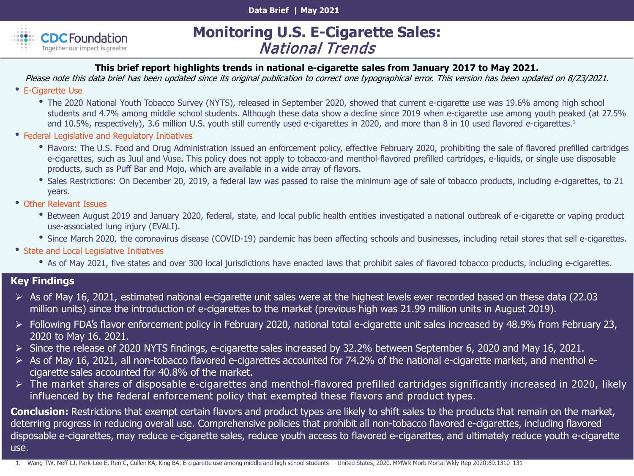**Data Brief | May 2021** 



# **Monitoring U.S. E-Cigarette Sales:** National Trends

#### **This brief report highlights trends in national e-cigarette sales from January 2017 to May 2021.**

Please note this data brief has been updated since its original publication to correct one typographical error. This version has been updated on 8/23/2021.

- E-Cigarette Use
	- The 2020 National Youth Tobacco Survey (NYTS), released in September 2020, showed that current e-cigarette use was 19.6% among high school students and 4.7% among middle school students. Although these data show a decline since 2019 when e-cigarette use among youth peaked (at 27.5% and 10.5%, respectively), 3.6 million U.S. youth still currently used e-cigarettes in 2020, and more than 8 in 10 used flavored e-cigarettes.<sup>1</sup>
- Federal Legislative and Regulatory Initiatives
	- Flavors: The U.S. Food and Drug Administration issued an enforcement policy, effective February 2020, prohibiting the sale of flavored prefilled cartridges e-cigarettes, such as Juul and Vuse. This policy does not apply to tobacco-and menthol-flavored prefilled cartridges, e-liquids, or single use disposable products, such as Puff Bar and Mojo, which are available in a wide array of flavors.
	- Sales Restrictions: On December 20, 2019, a federal law was passed to raise the minimum age of sale of tobacco products, including e-cigarettes, to 21 years.
- Other Relevant Issues
	- Between August 2019 and January 2020, federal, state, and local public health entities investigated a national outbreak of e-cigarette or vaping product use-associated lung injury (EVALI).
	- Since March 2020, the coronavirus disease (COVID-19) pandemic has been affecting schools and businesses, including retail stores that sell e-cigarettes.
- State and Local Legislative Initiatives
	- As of May 2021, five states and over 300 local jurisdictions have enacted laws that prohibit sales of flavored tobacco products, including e-cigarettes.

#### **Key Findings**

- $\triangleright$  As of May 16, 2021, estimated national e-cigarette unit sales were at the highest levels ever recorded based on these data (22.03) million units) since the introduction of e-cigarettes to the market (previous high was 21.99 million units in August 2019).
- Following FDA's flavor enforcement policy in February 2020, national total e-cigarette unit sales increased by 48.9% from February 23, 2020 to May 16. 2021.
- $\triangleright$  Since the release of 2020 NYTS findings, e-cigarette sales increased by 32.2% between September 6, 2020 and May 16, 2021.
- As of May 16, 2021, all non-tobacco flavored e-cigarettes accounted for 74.2% of the national e-cigarette market, and menthol ecigarette sales accounted for 40.8% of the market.
- The market shares of disposable e-cigarettes and menthol-flavored prefilled cartridges significantly increased in 2020, likely influenced by the federal enforcement policy that exempted these flavors and product types.

**Conclusion:** Restrictions that exempt certain flavors and product types are likely to shift sales to the products that remain on the market, deterring progress in reducing overall use. Comprehensive policies that prohibit all non-tobacco flavored e-cigarettes, including flavored disposable e-cigarettes, may reduce e-cigarette sales, reduce youth access to flavored e-cigarettes, and ultimately reduce youth e-cigarette use.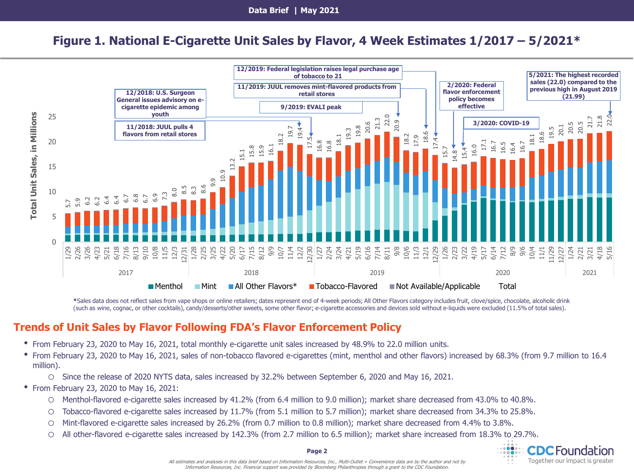**Data Brief | May 2021**

# **Figure 1. National E-Cigarette Unit Sales by Flavor, 4 Week Estimates 1/2017 – 5/2021\***



**\***Sales data does not reflect sales from vape shops or online retailers; dates represent end of 4-week periods; All Other Flavors category includes fruit, clove/spice, chocolate, alcoholic drink (such as wine, cognac, or other cocktails), candy/desserts/other sweets, some other flavor; e-cigarette accessories and devices sold without e-liquids were excluded (11.5% of total sales).

#### **Trends of Unit Sales by Flavor Following FDA's Flavor Enforcement Policy**

- From February 23, 2020 to May 16, 2021, total monthly e-cigarette unit sales increased by 48.9% to 22.0 million units.
- From February 23, 2020 to May 16, 2021, sales of non-tobacco flavored e-cigarettes (mint, menthol and other flavors) increased by 68.3% (from 9.7 million to 16.4 million).
	- o Since the release of 2020 NYTS data, sales increased by 32.2% between September 6, 2020 and May 16, 2021.
- From February 23, 2020 to May 16, 2021:
	- o Menthol-flavored e-cigarette sales increased by 41.2% (from 6.4 million to 9.0 million); market share decreased from 43.0% to 40.8%.
	- o Tobacco-flavored e-cigarette sales increased by 11.7% (from 5.1 million to 5.7 million); market share decreased from 34.3% to 25.8%.
	- o Mint-flavored e-cigarette sales increased by 26.2% (from 0.7 million to 0.8 million); market share decreased from 4.4% to 3.8%.
	- o All other-flavored e-cigarette sales increased by 142.3% (from 2.7 million to 6.5 million); market share increased from 18.3% to 29.7%.

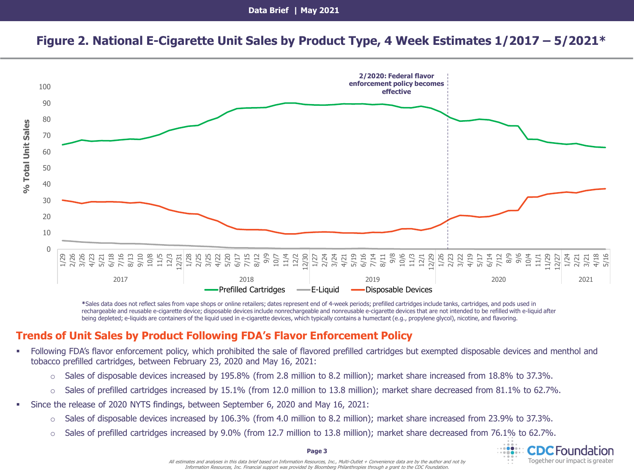# **Figure 2. National E-Cigarette Unit Sales by Product Type, 4 Week Estimates 1/2017 – 5/2021\***



**\***Sales data does not reflect sales from vape shops or online retailers; dates represent end of 4-week periods; prefilled cartridges include tanks, cartridges, and pods used in rechargeable and reusable e-cigarette device; disposable devices include nonrechargeable and nonreusable e-cigarette devices that are not intended to be refilled with e-liquid after being depleted; e-liquids are containers of the liquid used in e-cigarette devices, which typically contains a humectant (e.g., propylene glycol), nicotine, and flavoring.

### **Trends of Unit Sales by Product Following FDA's Flavor Enforcement Policy**

- Following FDA's flavor enforcement policy, which prohibited the sale of flavored prefilled cartridges but exempted disposable devices and menthol and tobacco prefilled cartridges, between February 23, 2020 and May 16, 2021:
	- $\circ$  Sales of disposable devices increased by 195.8% (from 2.8 million to 8.2 million); market share increased from 18.8% to 37.3%.
	- $\circ$  Sales of prefilled cartridges increased by 15.1% (from 12.0 million to 13.8 million); market share decreased from 81.1% to 62.7%.
- Since the release of 2020 NYTS findings, between September 6, 2020 and May 16, 2021:
	- o Sales of disposable devices increased by 106.3% (from 4.0 million to 8.2 million); market share increased from 23.9% to 37.3%.
	- $\circ$  Sales of prefilled cartridges increased by 9.0% (from 12.7 million to 13.8 million); market share decreased from 76.1% to 62.7%.



All estimates and analyses in this data brief based on Information Resources, Inc., Multi-Outlet + Convenience data are by the author and not by Information Resources, Inc. Financial support was provided by Bloomberg Philanthropies through a grant to the CDC Foundation.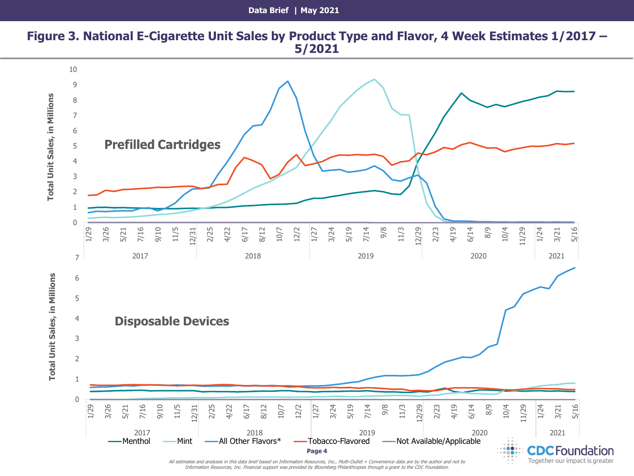### **Figure 3. National E-Cigarette Unit Sales by Product Type and Flavor, 4 Week Estimates 1/2017 – 5/2021**



Information Resources, Inc. Financial support was provided by Bloomberg Philanthropies through a grant to the CDC Foundation.